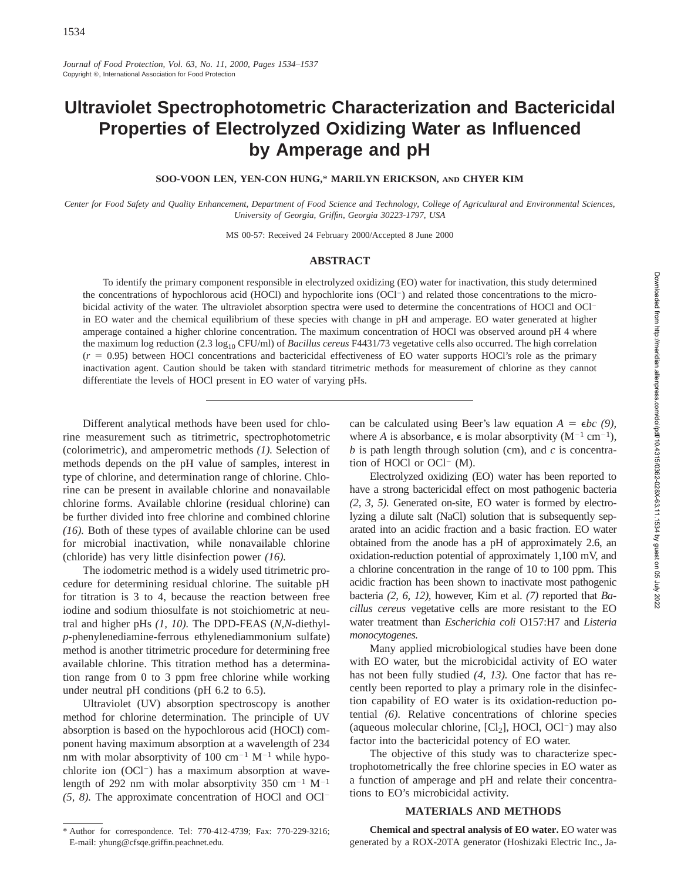# **Ultraviolet Spectrophotometric Characterization and Bactericidal Properties of Electrolyzed Oxidizing Water as Influenced by Amperage and pH**

**SOO-VOON LEN, YEN-CON HUNG,**\* **MARILYN ERICKSON, AND CHYER KIM**

*Center for Food Safety and Quality Enhancement, Department of Food Science and Technology, College of Agricultural and Environmental Sciences, University of Georgia, Griffin, Georgia 30223-1797, USA*

MS 00-57: Received 24 February 2000/Accepted 8 June 2000

## **ABSTRACT**

To identify the primary component responsible in electrolyzed oxidizing (EO) water for inactivation, this study determined the concentrations of hypochlorous acid (HOCl) and hypochlorite ions (OCl<sup>-</sup>) and related those concentrations to the microbicidal activity of the water. The ultraviolet absorption spectra were used to determine the concentrations of HOCl and OCl<sup>-</sup> in EO water and the chemical equilibrium of these species with change in pH and amperage. EO water generated at higher amperage contained a higher chlorine concentration. The maximum concentration of HOCl was observed around pH 4 where the maximum log reduction (2.3 log<sub>10</sub> CFU/ml) of *Bacillus cereus* F4431/73 vegetative cells also occurred. The high correlation  $(r = 0.95)$  between HOCl concentrations and bactericidal effectiveness of EO water supports HOCl's role as the primary inactivation agent. Caution should be taken with standard titrimetric methods for measurement of chlorine as they cannot differentiate the levels of HOCl present in EO water of varying pHs.

Different analytical methods have been used for chlorine measurement such as titrimetric, spectrophotometric (colorimetric), and amperometric methods *(1).* Selection of methods depends on the pH value of samples, interest in type of chlorine, and determination range of chlorine. Chlorine can be present in available chlorine and nonavailable chlorine forms. Available chlorine (residual chlorine) can be further divided into free chlorine and combined chlorine *(16).* Both of these types of available chlorine can be used for microbial inactivation, while nonavailable chlorine (chloride) has very little disinfection power *(16).*

The iodometric method is a widely used titrimetric procedure for determining residual chlorine. The suitable pH for titration is 3 to 4, because the reaction between free iodine and sodium thiosulfate is not stoichiometric at neutral and higher pHs *(1, 10).* The DPD-FEAS (*N,N*-diethyl*p*-phenylenediamine-ferrous ethylenediammonium sulfate) method is another titrimetric procedure for determining free available chlorine. This titration method has a determination range from 0 to 3 ppm free chlorine while working under neutral pH conditions (pH 6.2 to 6.5).

Ultraviolet (UV) absorption spectroscopy is another method for chlorine determination. The principle of UV absorption is based on the hypochlorous acid (HOCl) component having maximum absorption at a wavelength of 234 nm with molar absorptivity of 100 cm<sup>-1</sup> M<sup>-1</sup> while hypochlorite ion  $(OCl^{-})$  has a maximum absorption at wavelength of 292 nm with molar absorptivity 350 cm<sup>-1</sup> M<sup>-1</sup>  $(5, 8)$ . The approximate concentration of HOCl and OCl<sup>-</sup>

\* Author for correspondence. Tel: 770-412-4739; Fax: 770-229-3216; E-mail: yhung@cfsqe.griffin.peachnet.edu.

can be calculated using Beer's law equation  $A = \epsilon bc$  (9), where *A* is absorbance,  $\epsilon$  is molar absorptivity  $(M^{-1} \text{ cm}^{-1})$ , *b* is path length through solution (cm), and *c* is concentration of HOCl or OCl<sup>-</sup> (M).

Electrolyzed oxidizing (EO) water has been reported to have a strong bactericidal effect on most pathogenic bacteria *(2, 3, 5).* Generated on-site, EO water is formed by electrolyzing a dilute salt (NaCl) solution that is subsequently separated into an acidic fraction and a basic fraction. EO water obtained from the anode has a pH of approximately 2.6, an oxidation-reduction potential of approximately 1,100 mV, and a chlorine concentration in the range of 10 to 100 ppm. This acidic fraction has been shown to inactivate most pathogenic bacteria *(2, 6, 12),* however, Kim et al. *(7)* reported that *Bacillus cereus* vegetative cells are more resistant to the EO water treatment than *Escherichia coli* O157:H7 and *Listeria monocytogenes.*

Many applied microbiological studies have been done with EO water, but the microbicidal activity of EO water has not been fully studied *(4, 13).* One factor that has recently been reported to play a primary role in the disinfection capability of EO water is its oxidation-reduction potential *(6).* Relative concentrations of chlorine species (aqueous molecular chlorine,  $[Cl_2]$ , HOCl, OCl<sup>-</sup>) may also factor into the bactericidal potency of EO water.

The objective of this study was to characterize spectrophotometrically the free chlorine species in EO water as a function of amperage and pH and relate their concentrations to EO's microbicidal activity.

## **MATERIALS AND METHODS**

**Chemical and spectral analysis of EO water.** EO water was generated by a ROX-20TA generator (Hoshizaki Electric Inc., Ja-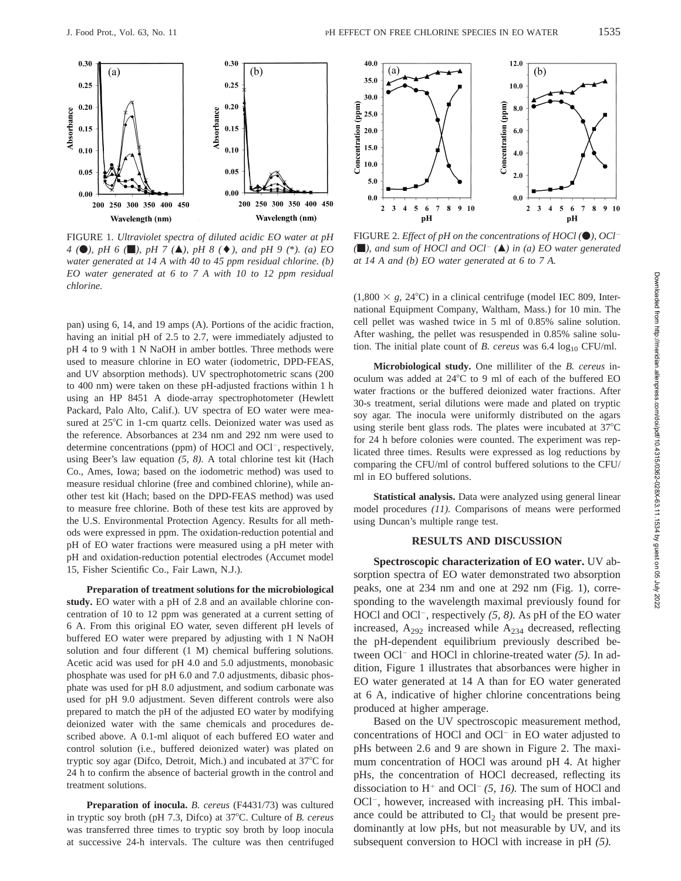

FIGURE 1. *Ultraviolet spectra of diluted acidic EO water at pH 4* (●), *pH* 6 (■), *pH* 7 (▲), *pH* 8 (◆), and *pH* 9 (\*). (a) EO *water generated at 14 A with 40 to 45 ppm residual chlorine. (b) EO water generated at 6 to 7 A with 10 to 12 ppm residual chlorine.*

pan) using 6, 14, and 19 amps (A). Portions of the acidic fraction, having an initial pH of 2.5 to 2.7, were immediately adjusted to pH 4 to 9 with 1 N NaOH in amber bottles. Three methods were used to measure chlorine in EO water (iodometric, DPD-FEAS, and UV absorption methods). UV spectrophotometric scans (200 to 400 nm) were taken on these pH-adjusted fractions within 1 h using an HP 8451 A diode-array spectrophotometer (Hewlett Packard, Palo Alto, Calif.). UV spectra of EO water were measured at  $25^{\circ}$ C in 1-cm quartz cells. Deionized water was used as the reference. Absorbances at 234 nm and 292 nm were used to determine concentrations (ppm) of HOCl and OCl<sup>-</sup>, respectively, using Beer's law equation *(5, 8).* A total chlorine test kit (Hach Co., Ames, Iowa; based on the iodometric method) was used to measure residual chlorine (free and combined chlorine), while another test kit (Hach; based on the DPD-FEAS method) was used to measure free chlorine. Both of these test kits are approved by the U.S. Environmental Protection Agency. Results for all methods were expressed in ppm. The oxidation-reduction potential and pH of EO water fractions were measured using a pH meter with pH and oxidation-reduction potential electrodes (Accumet model 15, Fisher Scientific Co., Fair Lawn, N.J.).

**Preparation of treatment solutions for the microbiological study.** EO water with a pH of 2.8 and an available chlorine concentration of 10 to 12 ppm was generated at a current setting of 6 A. From this original EO water, seven different pH levels of buffered EO water were prepared by adjusting with 1 N NaOH solution and four different (1 M) chemical buffering solutions. Acetic acid was used for pH 4.0 and 5.0 adjustments, monobasic phosphate was used for pH 6.0 and 7.0 adjustments, dibasic phosphate was used for pH 8.0 adjustment, and sodium carbonate was used for pH 9.0 adjustment. Seven different controls were also prepared to match the pH of the adjusted EO water by modifying deionized water with the same chemicals and procedures described above. A 0.1-ml aliquot of each buffered EO water and control solution (i.e., buffered deionized water) was plated on tryptic soy agar (Difco, Detroit, Mich.) and incubated at  $37^{\circ}$ C for 24 h to confirm the absence of bacterial growth in the control and treatment solutions.

**Preparation of inocula.** *B. cereus* (F4431/73) was cultured in tryptic soy broth (pH 7.3, Difco) at 37°C. Culture of *B. cereus* was transferred three times to tryptic soy broth by loop inocula at successive 24-h intervals. The culture was then centrifuged



FIGURE 2. *Effect of pH on the concentrations of HOCl* ( $\bullet$ ), *OCl*<sup>-</sup> *(*m*), and sum of HOCl and OCl*<sup>2</sup> *(*m*) in (a) EO water generated at 14 A and (b) EO water generated at 6 to 7 A.*

 $(1,800 \times g, 24^{\circ}$ C) in a clinical centrifuge (model IEC 809, International Equipment Company, Waltham, Mass.) for 10 min. The cell pellet was washed twice in 5 ml of 0.85% saline solution. After washing, the pellet was resuspended in 0.85% saline solution. The initial plate count of *B. cereus* was  $6.4 \log_{10} CFU/ml$ .

**Microbiological study.** One milliliter of the *B. cereus* inoculum was added at 24°C to 9 ml of each of the buffered EO water fractions or the buffered deionized water fractions. After 30-s treatment, serial dilutions were made and plated on tryptic soy agar. The inocula were uniformly distributed on the agars using sterile bent glass rods. The plates were incubated at  $37^{\circ}$ C for 24 h before colonies were counted. The experiment was replicated three times. Results were expressed as log reductions by comparing the CFU/ml of control buffered solutions to the CFU/ ml in EO buffered solutions.

**Statistical analysis.** Data were analyzed using general linear model procedures *(11).* Comparisons of means were performed using Duncan's multiple range test.

## **RESULTS AND DISCUSSION**

**Spectroscopic characterization of EO water.** UV absorption spectra of EO water demonstrated two absorption peaks, one at 234 nm and one at 292 nm (Fig. 1), corresponding to the wavelength maximal previously found for HOCl and OCl<sup>-</sup>, respectively (5, 8). As pH of the EO water increased,  $A_{292}$  increased while  $A_{234}$  decreased, reflecting the pH-dependent equilibrium previously described between OCl<sup>-</sup> and HOCl in chlorine-treated water (5). In addition, Figure 1 illustrates that absorbances were higher in EO water generated at 14 A than for EO water generated at 6 A, indicative of higher chlorine concentrations being produced at higher amperage.

Based on the UV spectroscopic measurement method, concentrations of HOCl and OCl<sup>-</sup> in EO water adjusted to pHs between 2.6 and 9 are shown in Figure 2. The maximum concentration of HOCl was around pH 4. At higher pHs, the concentration of HOCl decreased, reflecting its dissociation to  $H^+$  and OCl<sup>-</sup> (5, 16). The sum of HOCl and OCl<sup>-</sup>, however, increased with increasing pH. This imbalance could be attributed to  $Cl<sub>2</sub>$  that would be present predominantly at low pHs, but not measurable by UV, and its subsequent conversion to HOCl with increase in pH *(5).*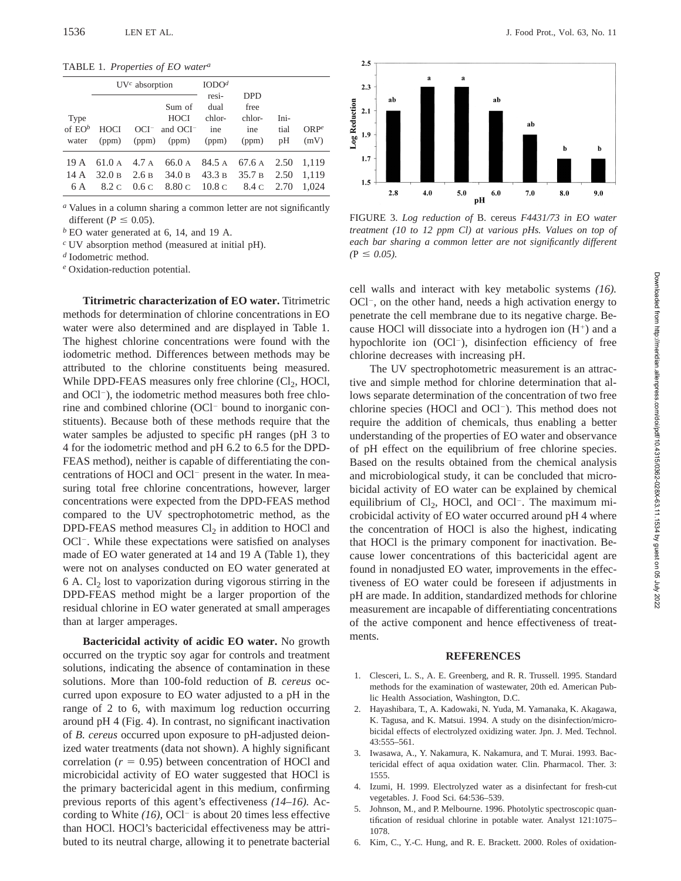TABLE 1. *Properties of EO water<sup>a</sup>*

|                             | $UVc$ absorption          |               |                                                 | IODO <sup>d</sup><br>resi- | <b>DPD</b>             |                      |                          |
|-----------------------------|---------------------------|---------------|-------------------------------------------------|----------------------------|------------------------|----------------------|--------------------------|
|                             |                           |               | Sum of                                          | dual                       | free                   |                      |                          |
| Type<br>of $E O^b$<br>water | <b>HOCI</b><br>(ppm)      | OCI-<br>(ppm) | <b>HOCI</b><br>and $OCI-$<br>(ppm)              | chlor-<br>ine<br>(ppm)     | chlor-<br>ine<br>(ppm) | Ini-<br>tial<br>pH   | ORP <sup>e</sup><br>(mV) |
| 19 A<br>14 A<br>6 A         | 61.0 A<br>32.0 B<br>8.2 C | 2.6B<br>0.6c  | $4.7 A$ 66.0 A 84.5 A 67.6 A<br>34.0 B<br>8.80C | 43.3 в<br>10.8 c           | 35.7 B<br>8.4 C        | 2.50<br>2.50<br>2.70 | 1.119<br>1,119<br>1.024  |

*<sup>a</sup>* Values in a column sharing a common letter are not significantly different ( $P \leq 0.05$ ).

*<sup>b</sup>* EO water generated at 6, 14, and 19 A.

*<sup>c</sup>* UV absorption method (measured at initial pH).

*<sup>d</sup>* Iodometric method.

*<sup>e</sup>* Oxidation-reduction potential.

**Titrimetric characterization of EO water.** Titrimetric methods for determination of chlorine concentrations in EO water were also determined and are displayed in Table 1. The highest chlorine concentrations were found with the iodometric method. Differences between methods may be attributed to the chlorine constituents being measured. While DPD-FEAS measures only free chlorine  $(Cl<sub>2</sub>, HOCl,$ and  $OCl^-$ ), the iodometric method measures both free chlorine and combined chlorine (OCl<sup>-</sup> bound to inorganic constituents). Because both of these methods require that the water samples be adjusted to specific pH ranges (pH 3 to 4 for the iodometric method and pH 6.2 to 6.5 for the DPD-FEAS method), neither is capable of differentiating the concentrations of HOCl and OCl<sup>-</sup> present in the water. In measuring total free chlorine concentrations, however, larger concentrations were expected from the DPD-FEAS method compared to the UV spectrophotometric method, as the DPD-FEAS method measures  $Cl<sub>2</sub>$  in addition to HOCl and OCl<sup>-</sup>. While these expectations were satisfied on analyses made of EO water generated at 14 and 19 A (Table 1), they were not on analyses conducted on EO water generated at  $6$  A. Cl<sub>2</sub> lost to vaporization during vigorous stirring in the DPD-FEAS method might be a larger proportion of the residual chlorine in EO water generated at small amperages than at larger amperages.

**Bactericidal activity of acidic EO water.** No growth occurred on the tryptic soy agar for controls and treatment solutions, indicating the absence of contamination in these solutions. More than 100-fold reduction of *B. cereus* occurred upon exposure to EO water adjusted to a pH in the range of 2 to 6, with maximum log reduction occurring around pH 4 (Fig. 4). In contrast, no significant inactivation of *B. cereus* occurred upon exposure to pH-adjusted deionized water treatments (data not shown). A highly significant correlation  $(r = 0.95)$  between concentration of HOCl and microbicidal activity of EO water suggested that HOCl is the primary bactericidal agent in this medium, confirming previous reports of this agent's effectiveness *(14–16).* According to White  $(16)$ , OCl<sup>-</sup> is about 20 times less effective than HOCl. HOCl's bactericidal effectiveness may be attributed to its neutral charge, allowing it to penetrate bacterial



FIGURE 3. *Log reduction of* B. cereus *F4431/73 in EO water treatment (10 to 12 ppm Cl) at various pHs. Values on top of each bar sharing a common letter are not significantly different*  $(P \le 0.05)$ .

cell walls and interact with key metabolic systems *(16).*  $OCl^-$ , on the other hand, needs a high activation energy to penetrate the cell membrane due to its negative charge. Because HOCl will dissociate into a hydrogen ion  $(H<sup>+</sup>)$  and a hypochlorite ion  $(OCl^{-})$ , disinfection efficiency of free chlorine decreases with increasing pH.

The UV spectrophotometric measurement is an attractive and simple method for chlorine determination that allows separate determination of the concentration of two free chlorine species (HOCl and OCl $^-$ ). This method does not require the addition of chemicals, thus enabling a better understanding of the properties of EO water and observance of pH effect on the equilibrium of free chlorine species. Based on the results obtained from the chemical analysis and microbiological study, it can be concluded that microbicidal activity of EO water can be explained by chemical equilibrium of  $Cl_2$ , HOCl, and OCl<sup>-</sup>. The maximum microbicidal activity of EO water occurred around pH 4 where the concentration of HOCl is also the highest, indicating that HOCl is the primary component for inactivation. Because lower concentrations of this bactericidal agent are found in nonadjusted EO water, improvements in the effectiveness of EO water could be foreseen if adjustments in pH are made. In addition, standardized methods for chlorine measurement are incapable of differentiating concentrations of the active component and hence effectiveness of treatments.

#### **REFERENCES**

- 1. Clesceri, L. S., A. E. Greenberg, and R. R. Trussell. 1995. Standard methods for the examination of wastewater, 20th ed. American Public Health Association, Washington, D.C.
- 2. Hayashibara, T., A. Kadowaki, N. Yuda, M. Yamanaka, K. Akagawa, K. Tagusa, and K. Matsui. 1994. A study on the disinfection/microbicidal effects of electrolyzed oxidizing water. Jpn. J. Med. Technol. 43:555–561.
- 3. Iwasawa, A., Y. Nakamura, K. Nakamura, and T. Murai. 1993. Bactericidal effect of aqua oxidation water. Clin. Pharmacol. Ther. 3: 1555.
- 4. Izumi, H. 1999. Electrolyzed water as a disinfectant for fresh-cut vegetables. J. Food Sci. 64:536–539.
- 5. Johnson, M., and P. Melbourne. 1996. Photolytic spectroscopic quantification of residual chlorine in potable water. Analyst 121:1075– 1078.
- Kim, C., Y.-C. Hung, and R. E. Brackett. 2000. Roles of oxidation-